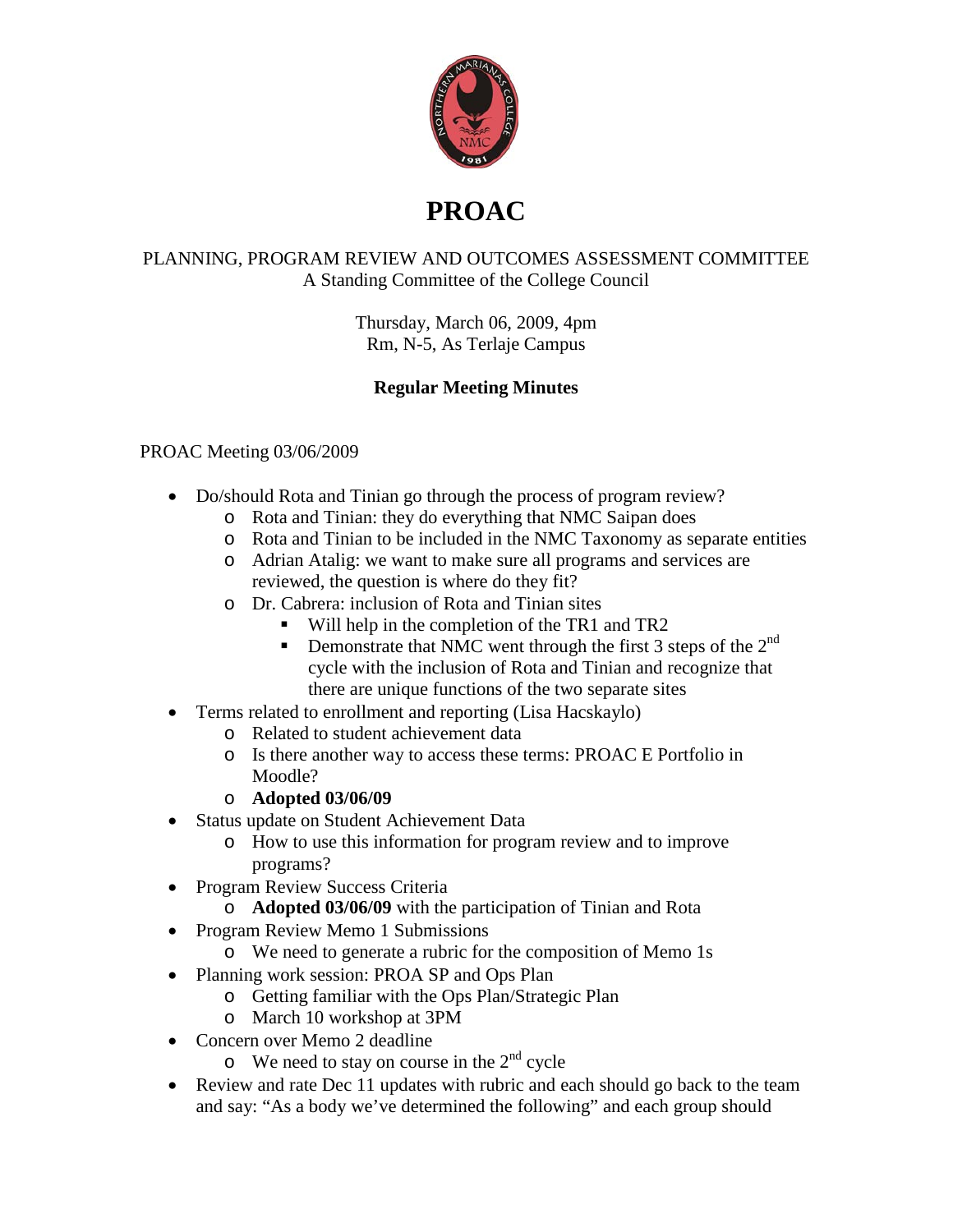

## **PROAC**

## PLANNING, PROGRAM REVIEW AND OUTCOMES ASSESSMENT COMMITTEE A Standing Committee of the College Council

Thursday, March 06, 2009, 4pm Rm, N-5, As Terlaje Campus

## **Regular Meeting Minutes**

## PROAC Meeting 03/06/2009

- Do/should Rota and Tinian go through the process of program review?
	- o Rota and Tinian: they do everything that NMC Saipan does
	- o Rota and Tinian to be included in the NMC Taxonomy as separate entities
	- o Adrian Atalig: we want to make sure all programs and services are reviewed, the question is where do they fit?
	- o Dr. Cabrera: inclusion of Rota and Tinian sites
		- Will help in the completion of the TR1 and TR2
		- **Demonstrate that NMC went through the first 3 steps of the**  $2^{nd}$ cycle with the inclusion of Rota and Tinian and recognize that there are unique functions of the two separate sites
- Terms related to enrollment and reporting (Lisa Hacskaylo)
	- o Related to student achievement data
	- o Is there another way to access these terms: PROAC E Portfolio in Moodle?
	- o **Adopted 03/06/09**
- Status update on Student Achievement Data
	- o How to use this information for program review and to improve programs?
- Program Review Success Criteria
	- o **Adopted 03/06/09** with the participation of Tinian and Rota
- Program Review Memo 1 Submissions
	- o We need to generate a rubric for the composition of Memo 1s
- Planning work session: PROA SP and Ops Plan
	- o Getting familiar with the Ops Plan/Strategic Plan
	- o March 10 workshop at 3PM
- Concern over Memo 2 deadline
	- $\circ$  We need to stay on course in the  $2^{nd}$  cycle
- Review and rate Dec 11 updates with rubric and each should go back to the team and say: "As a body we've determined the following" and each group should